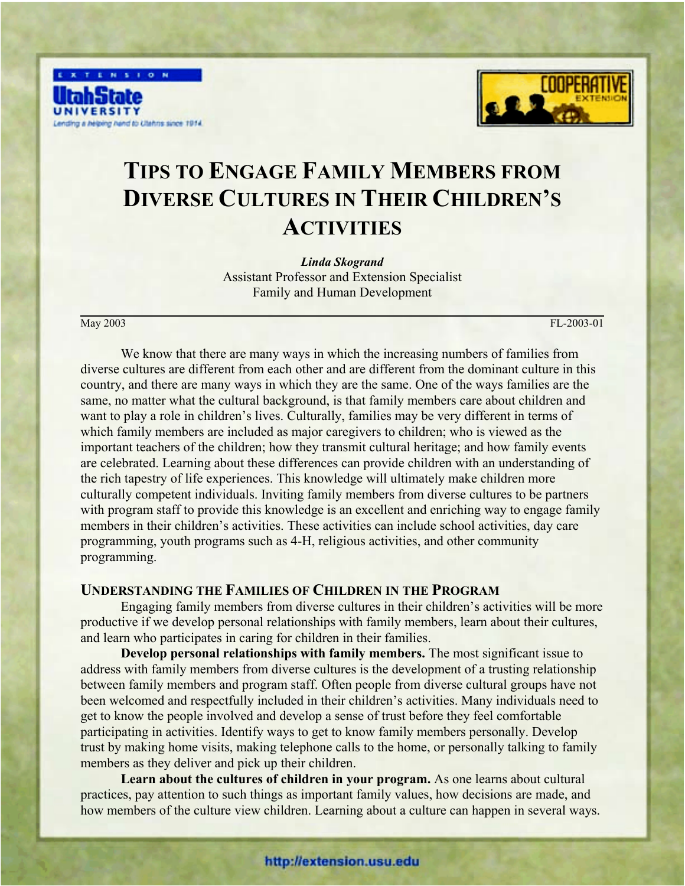



# **TIPS TO ENGAGE FAMILY MEMBERS FROM DIVERSE CULTURES IN THEIR CHILDREN'S ACTIVITIES**

*Linda Skogrand* Assistant Professor and Extension Specialist Family and Human Development

May 2003 FL-2003-01

We know that there are many ways in which the increasing numbers of families from diverse cultures are different from each other and are different from the dominant culture in this country, and there are many ways in which they are the same. One of the ways families are the same, no matter what the cultural background, is that family members care about children and want to play a role in children's lives. Culturally, families may be very different in terms of which family members are included as major caregivers to children; who is viewed as the important teachers of the children; how they transmit cultural heritage; and how family events are celebrated. Learning about these differences can provide children with an understanding of the rich tapestry of life experiences. This knowledge will ultimately make children more culturally competent individuals. Inviting family members from diverse cultures to be partners with program staff to provide this knowledge is an excellent and enriching way to engage family members in their children's activities. These activities can include school activities, day care programming, youth programs such as 4-H, religious activities, and other community programming.

### **UNDERSTANDING THE FAMILIES OF CHILDREN IN THE PROGRAM**

Engaging family members from diverse cultures in their children's activities will be more productive if we develop personal relationships with family members, learn about their cultures, and learn who participates in caring for children in their families.

**Develop personal relationships with family members.** The most significant issue to address with family members from diverse cultures is the development of a trusting relationship between family members and program staff. Often people from diverse cultural groups have not been welcomed and respectfully included in their children's activities. Many individuals need to get to know the people involved and develop a sense of trust before they feel comfortable participating in activities. Identify ways to get to know family members personally. Develop trust by making home visits, making telephone calls to the home, or personally talking to family members as they deliver and pick up their children.

**Learn about the cultures of children in your program.** As one learns about cultural practices, pay attention to such things as important family values, how decisions are made, and how members of the culture view children. Learning about a culture can happen in several ways.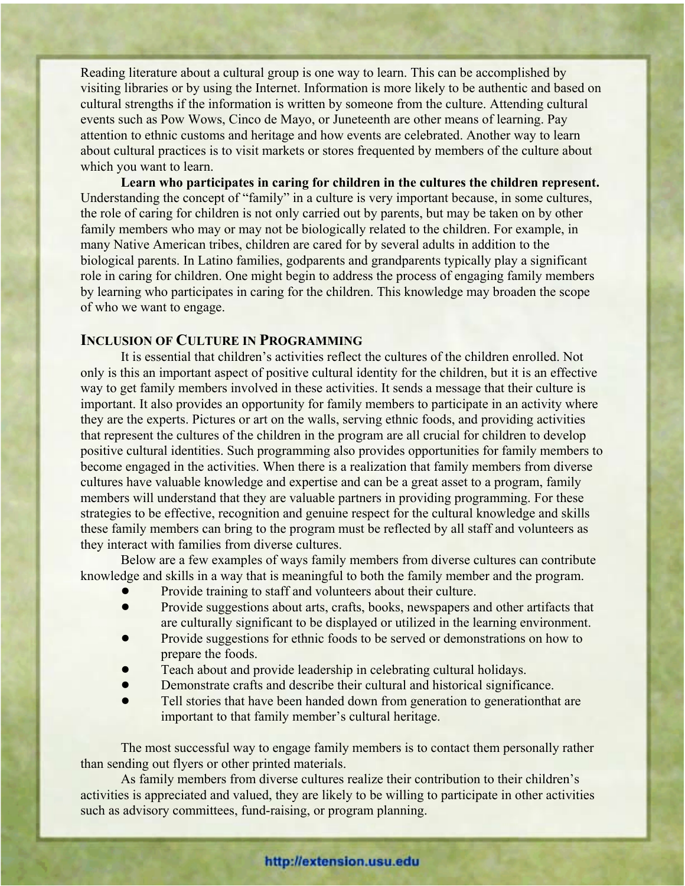Reading literature about a cultural group is one way to learn. This can be accomplished by visiting libraries or by using the Internet. Information is more likely to be authentic and based on cultural strengths if the information is written by someone from the culture. Attending cultural events such as Pow Wows, Cinco de Mayo, or Juneteenth are other means of learning. Pay attention to ethnic customs and heritage and how events are celebrated. Another way to learn about cultural practices is to visit markets or stores frequented by members of the culture about which you want to learn.

**Learn who participates in caring for children in the cultures the children represent.** Understanding the concept of "family" in a culture is very important because, in some cultures, the role of caring for children is not only carried out by parents, but may be taken on by other family members who may or may not be biologically related to the children. For example, in many Native American tribes, children are cared for by several adults in addition to the biological parents. In Latino families, godparents and grandparents typically play a significant role in caring for children. One might begin to address the process of engaging family members by learning who participates in caring for the children. This knowledge may broaden the scope of who we want to engage.

## **INCLUSION OF CULTURE IN PROGRAMMING**

It is essential that children's activities reflect the cultures of the children enrolled. Not only is this an important aspect of positive cultural identity for the children, but it is an effective way to get family members involved in these activities. It sends a message that their culture is important. It also provides an opportunity for family members to participate in an activity where they are the experts. Pictures or art on the walls, serving ethnic foods, and providing activities that represent the cultures of the children in the program are all crucial for children to develop positive cultural identities. Such programming also provides opportunities for family members to become engaged in the activities. When there is a realization that family members from diverse cultures have valuable knowledge and expertise and can be a great asset to a program, family members will understand that they are valuable partners in providing programming. For these strategies to be effective, recognition and genuine respect for the cultural knowledge and skills these family members can bring to the program must be reflected by all staff and volunteers as they interact with families from diverse cultures.

Below are a few examples of ways family members from diverse cultures can contribute knowledge and skills in a way that is meaningful to both the family member and the program.

- Provide training to staff and volunteers about their culture.
- ! Provide suggestions about arts, crafts, books, newspapers and other artifacts that are culturally significant to be displayed or utilized in the learning environment.
- ! Provide suggestions for ethnic foods to be served or demonstrations on how to prepare the foods.
- ! Teach about and provide leadership in celebrating cultural holidays.
- ! Demonstrate crafts and describe their cultural and historical significance.
- ! Tell stories that have been handed down from generation to generationthat are important to that family member's cultural heritage.

The most successful way to engage family members is to contact them personally rather than sending out flyers or other printed materials.

As family members from diverse cultures realize their contribution to their children's activities is appreciated and valued, they are likely to be willing to participate in other activities such as advisory committees, fund-raising, or program planning.